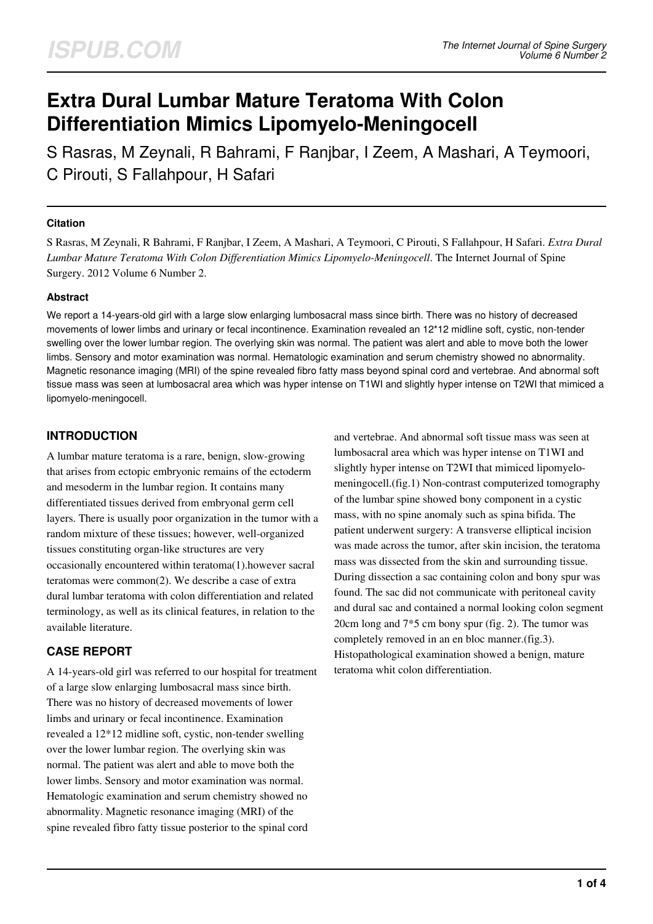# **Extra Dural Lumbar Mature Teratoma With Colon Differentiation Mimics Lipomyelo-Meningocell**

S Rasras, M Zeynali, R Bahrami, F Ranjbar, I Zeem, A Mashari, A Teymoori, C Pirouti, S Fallahpour, H Safari

# **Citation**

S Rasras, M Zeynali, R Bahrami, F Ranjbar, I Zeem, A Mashari, A Teymoori, C Pirouti, S Fallahpour, H Safari. *Extra Dural Lumbar Mature Teratoma With Colon Differentiation Mimics Lipomyelo-Meningocell*. The Internet Journal of Spine Surgery. 2012 Volume 6 Number 2.

# **Abstract**

We report a 14-years-old girl with a large slow enlarging lumbosacral mass since birth. There was no history of decreased movements of lower limbs and urinary or fecal incontinence. Examination revealed an 12\*12 midline soft, cystic, non-tender swelling over the lower lumbar region. The overlying skin was normal. The patient was alert and able to move both the lower limbs. Sensory and motor examination was normal. Hematologic examination and serum chemistry showed no abnormality. Magnetic resonance imaging (MRI) of the spine revealed fibro fatty mass beyond spinal cord and vertebrae. And abnormal soft tissue mass was seen at lumbosacral area which was hyper intense on T1WI and slightly hyper intense on T2WI that mimiced a lipomyelo-meningocell.

# **INTRODUCTION**

A lumbar mature teratoma is a rare, benign, slow-growing that arises from ectopic embryonic remains of the ectoderm and mesoderm in the lumbar region. It contains many differentiated tissues derived from embryonal germ cell layers. There is usually poor organization in the tumor with a random mixture of these tissues; however, well-organized tissues constituting organ-like structures are very occasionally encountered within teratoma(1).however sacral teratomas were common(2). We describe a case of extra dural lumbar teratoma with colon differentiation and related terminology, as well as its clinical features, in relation to the available literature.

# **CASE REPORT**

A 14-years-old girl was referred to our hospital for treatment of a large slow enlarging lumbosacral mass since birth. There was no history of decreased movements of lower limbs and urinary or fecal incontinence. Examination revealed a 12\*12 midline soft, cystic, non-tender swelling over the lower lumbar region. The overlying skin was normal. The patient was alert and able to move both the lower limbs. Sensory and motor examination was normal. Hematologic examination and serum chemistry showed no abnormality. Magnetic resonance imaging (MRI) of the spine revealed fibro fatty tissue posterior to the spinal cord

and vertebrae. And abnormal soft tissue mass was seen at lumbosacral area which was hyper intense on T1WI and slightly hyper intense on T2WI that mimiced lipomyelomeningocell.(fig.1) Non-contrast computerized tomography of the lumbar spine showed bony component in a cystic mass, with no spine anomaly such as spina bifida. The patient underwent surgery: A transverse elliptical incision was made across the tumor, after skin incision, the teratoma mass was dissected from the skin and surrounding tissue. During dissection a sac containing colon and bony spur was found. The sac did not communicate with peritoneal cavity and dural sac and contained a normal looking colon segment 20cm long and 7\*5 cm bony spur (fig. 2). The tumor was completely removed in an en bloc manner.(fig.3). Histopathological examination showed a benign, mature teratoma whit colon differentiation.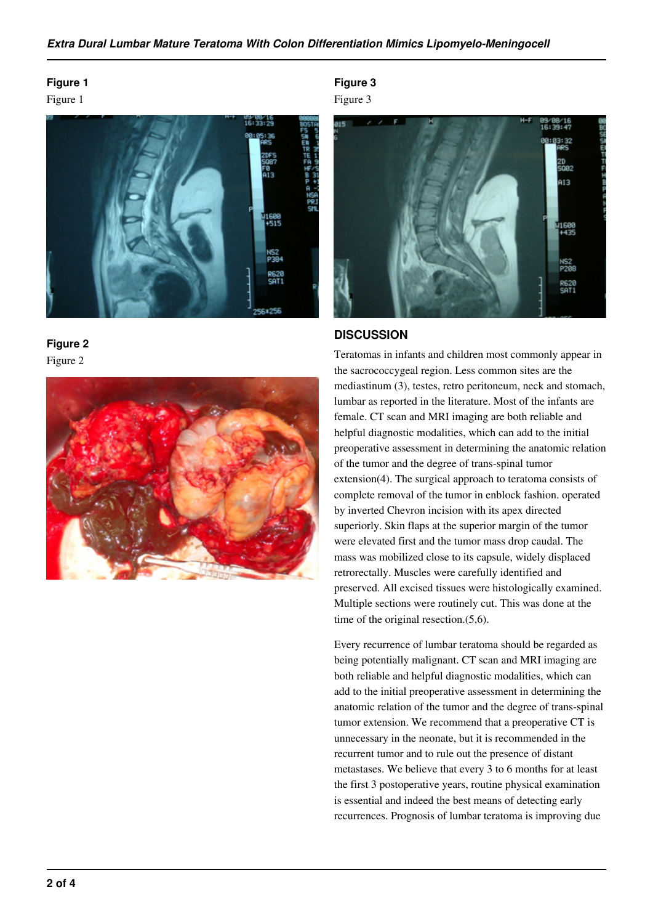# **Figure 1**

Figure 1







**Figure 3**





#### **DISCUSSION**

Teratomas in infants and children most commonly appear in the sacrococcygeal region. Less common sites are the mediastinum (3), testes, retro peritoneum, neck and stomach, lumbar as reported in the literature. Most of the infants are female. CT scan and MRI imaging are both reliable and helpful diagnostic modalities, which can add to the initial preoperative assessment in determining the anatomic relation of the tumor and the degree of trans-spinal tumor extension(4). The surgical approach to teratoma consists of complete removal of the tumor in enblock fashion. operated by inverted Chevron incision with its apex directed superiorly. Skin flaps at the superior margin of the tumor were elevated first and the tumor mass drop caudal. The mass was mobilized close to its capsule, widely displaced retrorectally. Muscles were carefully identified and preserved. All excised tissues were histologically examined. Multiple sections were routinely cut. This was done at the time of the original resection.(5,6).

Every recurrence of lumbar teratoma should be regarded as being potentially malignant. CT scan and MRI imaging are both reliable and helpful diagnostic modalities, which can add to the initial preoperative assessment in determining the anatomic relation of the tumor and the degree of trans-spinal tumor extension. We recommend that a preoperative CT is unnecessary in the neonate, but it is recommended in the recurrent tumor and to rule out the presence of distant metastases. We believe that every 3 to 6 months for at least the first 3 postoperative years, routine physical examination is essential and indeed the best means of detecting early recurrences. Prognosis of lumbar teratoma is improving due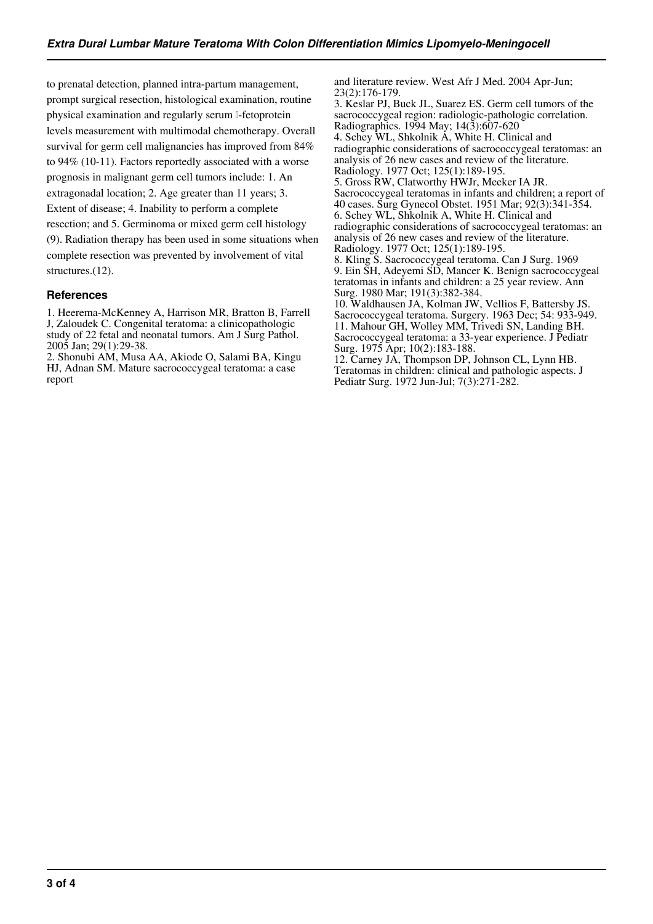to prenatal detection, planned intra-partum management, prompt surgical resection, histological examination, routine physical examination and regularly serum l-fetoprotein levels measurement with multimodal chemotherapy. Overall survival for germ cell malignancies has improved from 84% to 94% (10-11). Factors reportedly associated with a worse prognosis in malignant germ cell tumors include: 1. An extragonadal location; 2. Age greater than 11 years; 3. Extent of disease; 4. Inability to perform a complete resection; and 5. Germinoma or mixed germ cell histology (9). Radiation therapy has been used in some situations when complete resection was prevented by involvement of vital structures.(12).

# **References**

1. Heerema-McKenney A, Harrison MR, Bratton B, Farrell J, Zaloudek C. Congenital teratoma: a clinicopathologic study of 22 fetal and neonatal tumors. Am J Surg Pathol. 2005 Jan; 29(1):29-38.

2. Shonubi AM, Musa AA, Akiode O, Salami BA, Kingu HJ, Adnan SM. Mature sacrococcygeal teratoma: a case report

and literature review. West Afr J Med. 2004 Apr-Jun; 23(2):176-179.

3. Keslar PJ, Buck JL, Suarez ES. Germ cell tumors of the sacrococcygeal region: radiologic-pathologic correlation. Radiographics. 1994 May; 14(3):607-620 4. Schey WL, Shkolnik A, White H. Clinical and radiographic considerations of sacrococcygeal teratomas: an analysis of 26 new cases and review of the literature. Radiology. 1977 Oct; 125(1):189-195. 5. Gross RW, Clatworthy HWJr, Meeker IA JR. Sacrococcygeal teratomas in infants and children; a report of 40 cases. Surg Gynecol Obstet. 1951 Mar; 92(3):341-354. 6. Schey WL, Shkolnik A, White H. Clinical and radiographic considerations of sacrococcygeal teratomas: an analysis of 26 new cases and review of the literature. Radiology. 1977 Oct; 125(1):189-195. 8. Kling S. Sacrococcygeal teratoma. Can J Surg. 1969

9. Ein SH, Adeyemi SD, Mancer K. Benign sacrococcygeal teratomas in infants and children: a 25 year review. Ann Surg. 1980 Mar; 191(3):382-384.

10. Waldhausen JA, Kolman JW, Vellios F, Battersby JS. Sacrococcygeal teratoma. Surgery. 1963 Dec; 54: 933-949. 11. Mahour GH, Wolley MM, Trivedi SN, Landing BH. Sacrococcygeal teratoma: a 33-year experience. J Pediatr Surg. 1975 Apr; 10(2):183-188.

12. Carney JA, Thompson DP, Johnson CL, Lynn HB. Teratomas in children: clinical and pathologic aspects. J Pediatr Surg. 1972 Jun-Jul; 7(3):271-282.